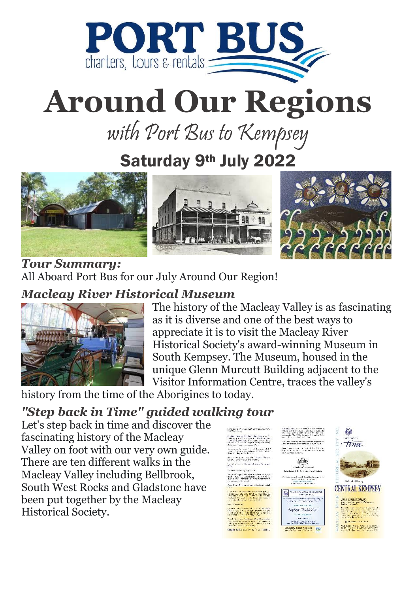

# **Around Our Regions**

with Port Bus to Kempsey

### Saturday 9<sup>th</sup> July 2022



*Tour Summary:* All Aboard Port Bus for our July Around Our Region!

#### *Macleay River Historical Museum*



The history of the Macleay Valley is as fascinating as it is diverse and one of the best ways to appreciate it is to visit the Macleay River Historical Society's award-winning Museum in South Kempsey. The Museum, housed in the unique Glenn Murcutt Building adjacent to the Visitor Information Centre, traces the valley's

history from the time of the Aborigines to today.

#### *"Step back in Time" guided walking tour*

Let's step back in time and discover the fascinating history of the Macleay Valley on foot with our very own guide. There are ten different walks in the Macleay Valley including Bellbrook, South West Rocks and Gladstone have been put together by the [Macleay](https://artsmidnorthcoast.com/listing/macleay-river-historical-society-and-museum/)  [Historical Society.](https://artsmidnorthcoast.com/listing/macleay-river-historical-society-and-museum/)